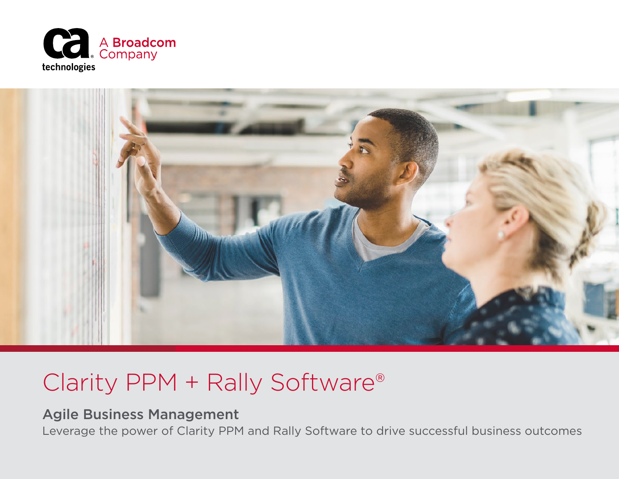



## Clarity PPM + Rally Software®

### Agile Business Management

Leverage the power of Clarity PPM and Rally Software to drive successful business outcomes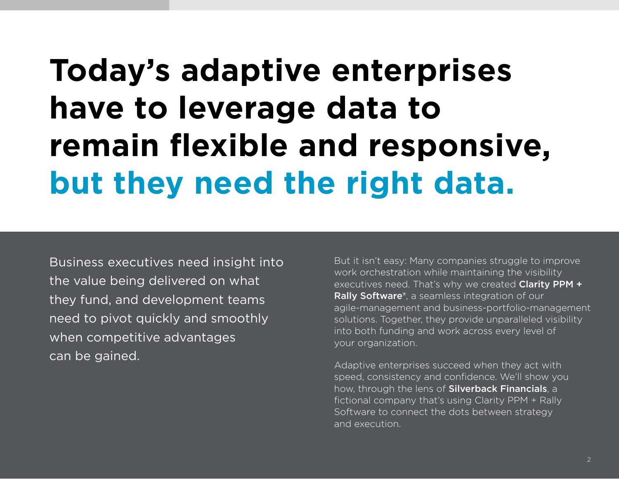# **Today's adaptive enterprises have to leverage data to remain flexible and responsive, but they need the right data.**

Business executives need insight into the value being delivered on what they fund, and development teams need to pivot quickly and smoothly when competitive advantages can be gained.

But it isn't easy: Many companies struggle to improve work orchestration while maintaining the visibility executives need. That's why we created Clarity PPM + Rally Software®, a seamless integration of our agile-management and business-portfolio-management solutions. Together, they provide unparalleled visibility into both funding and work across every level of your organization.

Adaptive enterprises succeed when they act with speed, consistency and confidence. We'll show you how, through the lens of Silverback Financials, a fictional company that's using Clarity PPM + Rally Software to connect the dots between strategy and execution.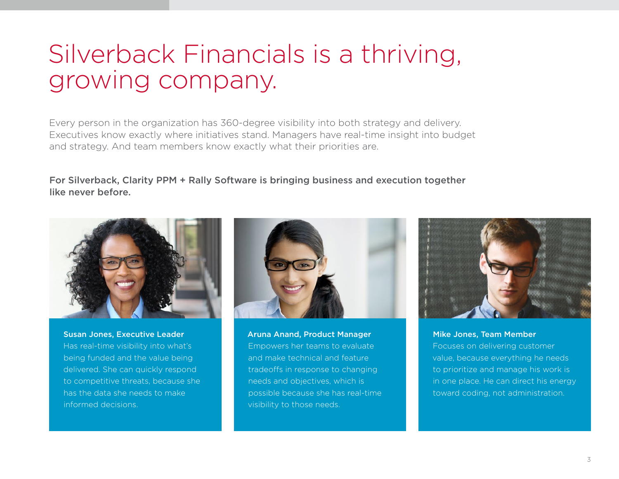# Silverback Financials is a thriving, growing company.

Every person in the organization has 360-degree visibility into both strategy and delivery. Executives know exactly where initiatives stand. Managers have real-time insight into budget and strategy. And team members know exactly what their priorities are.

#### For Silverback, Clarity PPM + Rally Software is bringing business and execution together like never before.



Susan Jones, Executive Leader Has real-time visibility into what's being funded and the value being delivered. She can quickly respond to competitive threats, because she has the data she needs to make informed decisions.



Aruna Anand, Product Manager Empowers her teams to evaluate and make technical and feature tradeoffs in response to changing needs and objectives, which is possible because she has real-time visibility to those needs.



Mike Jones, Team Member Focuses on delivering customer value, because everything he needs to prioritize and manage his work is in one place. He can direct his energy toward coding, not administration.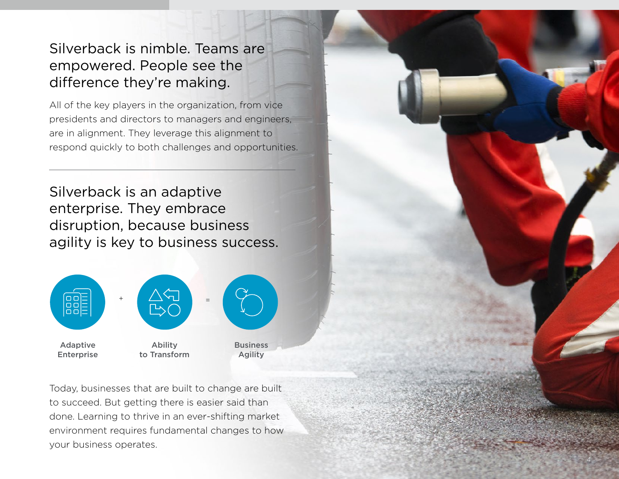## Silverback is nimble. Teams are empowered. People see the difference they're making.

All of the key players in the organization, from vice presidents and directors to managers and engineers, are in alignment. They leverage this alignment to respond quickly to both challenges and opportunities.

Silverback is an adaptive enterprise. They embrace disruption, because business agility is key to business success.



Today, businesses that are built to change are built to succeed. But getting there is easier said than done. Learning to thrive in an ever-shifting market environment requires fundamental changes to how your business operates.

4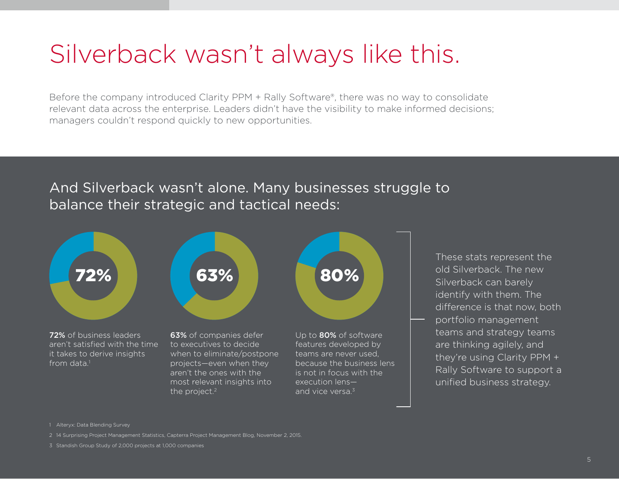# Silverback wasn't always like this.

Before the company introduced Clarity PPM + Rally Software®, there was no way to consolidate relevant data across the enterprise. Leaders didn't have the visibility to make informed decisions; managers couldn't respond quickly to new opportunities.

### And Silverback wasn't alone. Many businesses struggle to balance their strategic and tactical needs:



These stats represent the old Silverback. The new Silverback can barely identify with them. The difference is that now, both portfolio management teams and strategy teams are thinking agilely, and they're using Clarity PPM + Rally Software to support a unified business strategy.

1 Alteryx: Data Blending Survey

2 14 Surprising Project Management Statistics, Capterra Project Management Blog, November 2, 2015.

3 Standish Group Study of 2,000 projects at 1,000 companies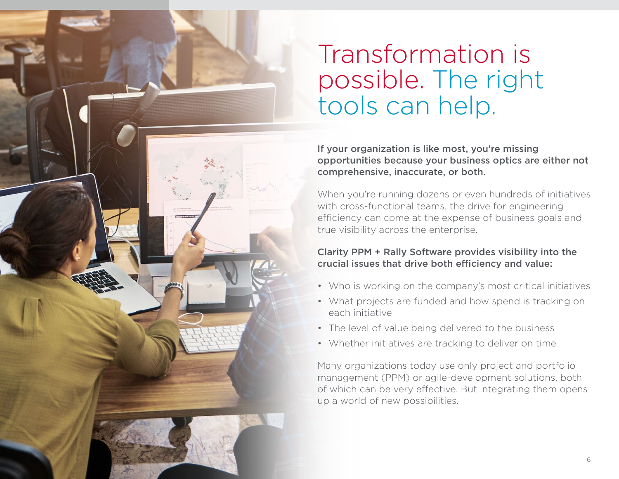# Transformation is possible. The right tools can help.

If your organization is like most, you're missing opportunities because your business optics are either not comprehensive, inaccurate, or both.

When you're running dozens or even hundreds of initiatives with cross-functional teams, the drive for engineering efficiency can come at the expense of business goals and true visibility across the enterprise.

#### Clarity PPM + Rally Software provides visibility into the crucial issues that drive both efficiency and value:

- Who is working on the company's most critical initiatives
- What projects are funded and how spend is tracking on each initiative
- The level of value being delivered to the business
- Whether initiatives are tracking to deliver on time

Many organizations today use only project and portfolio management (PPM) or agile-development solutions, both of which can be very effective. But integrating them opens up a world of new possibilities.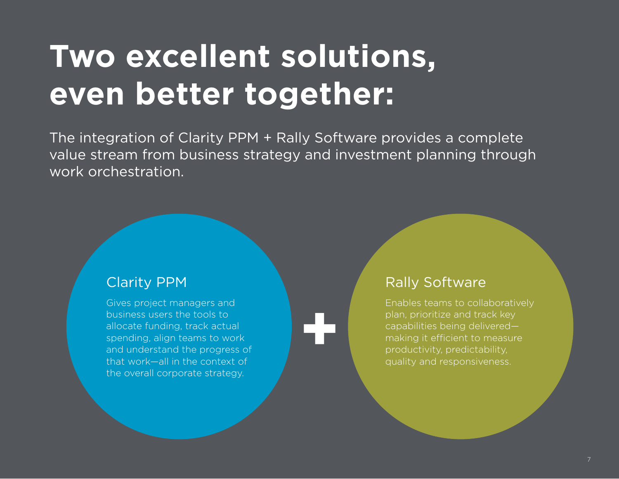# **Two excellent solutions, even better together:**

The integration of Clarity PPM + Rally Software provides a complete value stream from business strategy and investment planning through work orchestration.

**+**

## Clarity PPM

Gives project managers and business users the tools to allocate funding, track actual spending, align teams to work and understand the progress of that work—all in the context of the overall corporate strategy.

### Rally Software

Enables teams to collaboratively plan, prioritize and track key capabilities being delivered making it efficient to measure productivity, predictability, quality and responsiveness.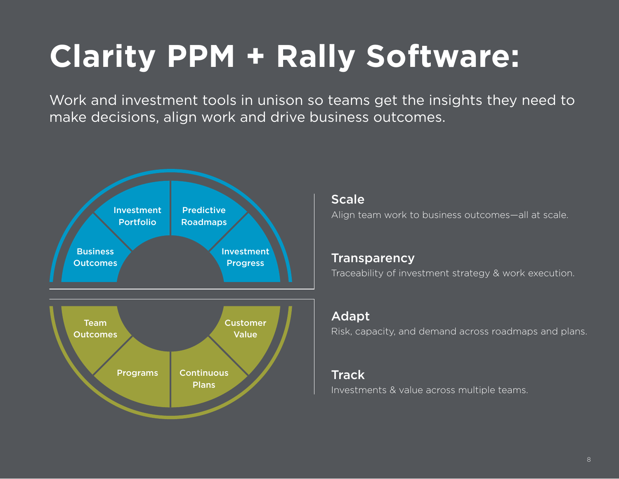# **Clarity PPM + Rally Software:**

Work and investment tools in unison so teams get the insights they need to make decisions, align work and drive business outcomes.



**Scale** Align team work to business outcomes—all at scale.

**Transparency** Traceability of investment strategy & work execution.

#### Adapt

Risk, capacity, and demand across roadmaps and plans.

### **Track**

Investments & value across multiple teams.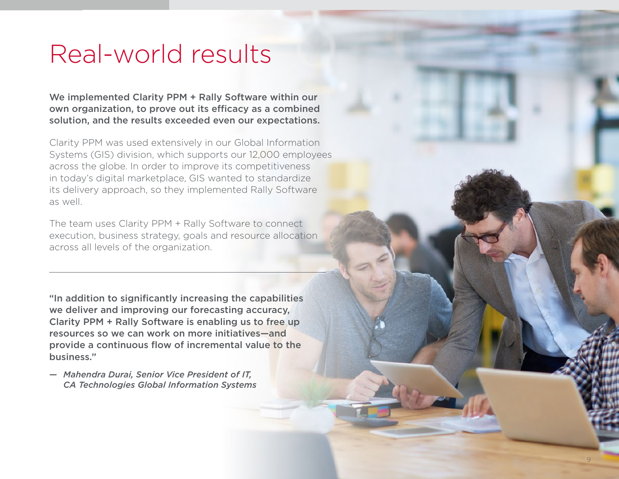## Real-world results

We implemented Clarity PPM + Rally Software within our own organization, to prove out its efficacy as a combined solution, and the results exceeded even our expectations.

Clarity PPM was used extensively in our Global Information Systems (GIS) division, which supports our 12,000 employees across the globe. In order to improve its competitiveness in today's digital marketplace, GIS wanted to standardize its delivery approach, so they implemented Rally Software as well.

The team uses Clarity PPM + Rally Software to connect execution, business strategy, goals and resource allocation across all levels of the organization.

"In addition to significantly increasing the capabilities we deliver and improving our forecasting accuracy, Clarity PPM + Rally Software is enabling us to free up resources so we can work on more initiatives—and provide a continuous flow of incremental value to the business."

*— Mahendra Durai, Senior Vice President of IT, CA Technologies Global Information Systems*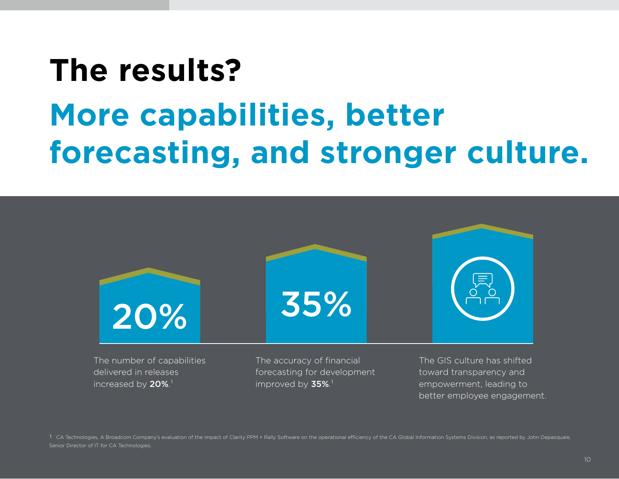# **The results? More capabilities, better forecasting, and stronger culture.**



delivered in releases increased by  $20\%$ .<sup>1</sup>

The accuracy of financial forecasting for development improved by  $35\%$ .<sup>1</sup>

The GIS culture has shifted toward transparency and empowerment, leading to better employee engagement.

1 CA Technologies, A Broadcom Company's evaluation of the impact of Clarity PPM + Rally Software on the operational efficiency of the CA Global Information Systems Division, as reported by John Depasquale, Senior Director of IT for CA Technologies.